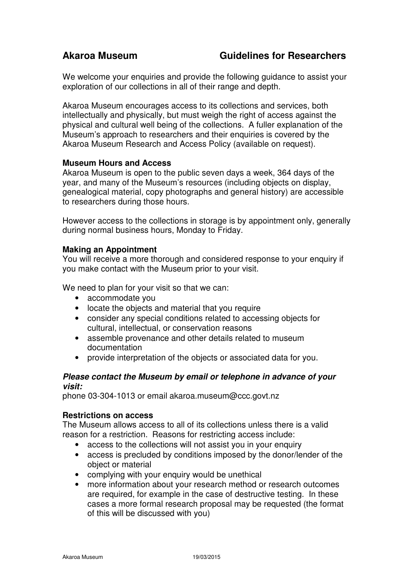We welcome your enquiries and provide the following guidance to assist your exploration of our collections in all of their range and depth.

Akaroa Museum encourages access to its collections and services, both intellectually and physically, but must weigh the right of access against the physical and cultural well being of the collections. A fuller explanation of the Museum's approach to researchers and their enquiries is covered by the Akaroa Museum Research and Access Policy (available on request).

## **Museum Hours and Access**

Akaroa Museum is open to the public seven days a week, 364 days of the year, and many of the Museum's resources (including objects on display, genealogical material, copy photographs and general history) are accessible to researchers during those hours.

However access to the collections in storage is by appointment only, generally during normal business hours, Monday to Friday.

## **Making an Appointment**

You will receive a more thorough and considered response to your enquiry if you make contact with the Museum prior to your visit.

We need to plan for your visit so that we can:

- accommodate you
- locate the objects and material that you require
- consider any special conditions related to accessing objects for cultural, intellectual, or conservation reasons
- assemble provenance and other details related to museum documentation
- provide interpretation of the objects or associated data for you.

## **Please contact the Museum by email or telephone in advance of your visit:**

phone 03-304-1013 or email akaroa.museum@ccc.govt.nz

### **Restrictions on access**

The Museum allows access to all of its collections unless there is a valid reason for a restriction. Reasons for restricting access include:

- access to the collections will not assist you in your enquiry
- access is precluded by conditions imposed by the donor/lender of the object or material
- complying with your enquiry would be unethical
- more information about your research method or research outcomes are required, for example in the case of destructive testing. In these cases a more formal research proposal may be requested (the format of this will be discussed with you)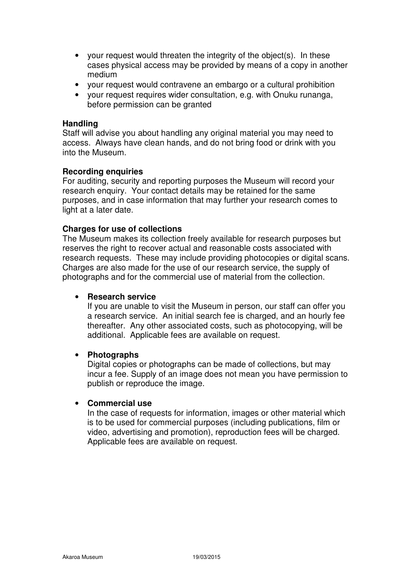- your request would threaten the integrity of the object(s). In these cases physical access may be provided by means of a copy in another medium
- your request would contravene an embargo or a cultural prohibition
- your request requires wider consultation, e.g. with Onuku runanga, before permission can be granted

### **Handling**

Staff will advise you about handling any original material you may need to access. Always have clean hands, and do not bring food or drink with you into the Museum.

### **Recording enquiries**

For auditing, security and reporting purposes the Museum will record your research enquiry. Your contact details may be retained for the same purposes, and in case information that may further your research comes to light at a later date.

## **Charges for use of collections**

The Museum makes its collection freely available for research purposes but reserves the right to recover actual and reasonable costs associated with research requests. These may include providing photocopies or digital scans. Charges are also made for the use of our research service, the supply of photographs and for the commercial use of material from the collection.

### • **Research service**

If you are unable to visit the Museum in person, our staff can offer you a research service. An initial search fee is charged, and an hourly fee thereafter. Any other associated costs, such as photocopying, will be additional. Applicable fees are available on request.

### • **Photographs**

Digital copies or photographs can be made of collections, but may incur a fee. Supply of an image does not mean you have permission to publish or reproduce the image.

### • **Commercial use**

In the case of requests for information, images or other material which is to be used for commercial purposes (including publications, film or video, advertising and promotion), reproduction fees will be charged. Applicable fees are available on request.